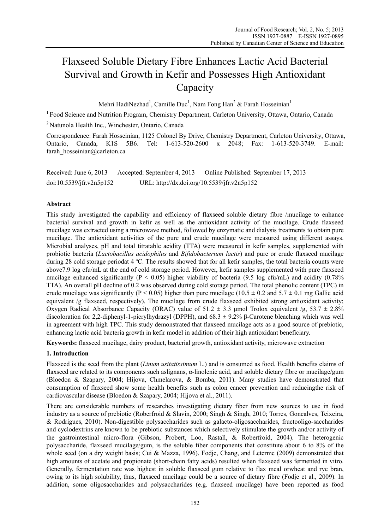# Flaxseed Soluble Dietary Fibre Enhances Lactic Acid Bacterial Survival and Growth in Kefir and Possesses High Antioxidant Capacity

Mehri HadiNezhad<sup>1</sup>, Camille Duc<sup>1</sup>, Nam Fong Han<sup>2</sup> & Farah Hosseinian<sup>1</sup>

<sup>1</sup> Food Science and Nutrition Program, Chemistry Department, Carleton University, Ottawa, Ontario, Canada

2 Natunola Health Inc., Winchester, Ontario, Canada

Correspondence: Farah Hosseinian, 1125 Colonel By Drive, Chemistry Department, Carleton University, Ottawa, Ontario, Canada, K1S 5B6. Tel: 1-613-520-2600 x 2048; Fax: 1-613-520-3749. E-mail: farah\_hosseinian@carleton.ca

Received: June 6, 2013 Accepted: September 4, 2013 Online Published: September 17, 2013 doi:10.5539/jfr.v2n5p152 URL: http://dx.doi.org/10.5539/jfr.v2n5p152

# **Abstract**

This study investigated the capability and efficiency of flaxseed soluble dietary fibre /mucilage to enhance bacterial survival and growth in kefir as well as the antioxidant activity of the mucilage. Crude flaxseed mucilage was extracted using a microwave method, followed by enzymatic and dialysis treatments to obtain pure mucilage. The antioxidant activities of the pure and crude mucilage were measured using different assays. Microbial analyses, pH and total titratable acidity (TTA) were measured in kefir samples, supplemented with probiotic bacteria (*Lactobacillus acidophilus* and *Bifidobacterium lactis*) and pure or crude flaxseed mucilage during 28 cold storage periodat 4 ºC. The results showed that for all kefir samples, the total bacteria counts were above7.9 log cfu/mL at the end of cold storage period. However, kefir samples supplemented with pure flaxseed mucilage enhanced significantly ( $P < 0.05$ ) higher viability of bacteria (9.5 log cfu/mL) and acidity (0.78% TTA). An overall pH decline of 0.2 was observed during cold storage period. The total phenolic content (TPC) in crude mucilage was significantly (P < 0.05) higher than pure mucilage (10.5  $\pm$  0.2 and 5.7  $\pm$  0.1 mg Gallic acid equivalent /g flaxseed, respectively). The mucilage from crude flaxseed exhibited strong antioxidant activity; Oxygen Radical Absorbance Capacity (ORAC) value of  $51.2 \pm 3.3$  µmol Trolox equivalent /g,  $53.7 \pm 2.8\%$ discoloration for 2,2-diphenyl-1-picrylhydrazyl (DPPH), and 68.3 ± 9.2% β-Carotene bleaching which was well in agreement with high TPC. This study demonstrated that flaxseed mucilage acts as a good source of prebiotic, enhancing lactic acid bacteria growth in kefir model in addition of their high antioxidant beneficiary.

**Keywords:** flaxseed mucilage, dairy product, bacterial growth, antioxidant activity, microwave extraction

# **1. Introduction**

Flaxseed is the seed from the plant (*Linum usitatissimum* L.) and is consumed as food. Health benefits claims of flaxseed are related to its components such aslignans, α-linolenic acid, and soluble dietary fibre or mucilage/gum (Bloedon & Szapary, 2004; Hijova, Chmelarova, & Bomba, 2011). Many studies have demonstrated that consumption of flaxseed show some health benefits such as colon cancer prevention and reducingthe risk of cardiovascular disease (Bloedon & Szapary, 2004; Hijova et al., 2011).

There are considerable numbers of researches investigating dietary fiber from new sources to use in food industry as a source of prebiotic (Roberfroid & Slavin, 2000; Singh & Singh, 2010; Torres, Goncalves, Teixeira, & Rodrigues, 2010). Non-digestible polysaccharides such as galacto-oligosaccharides, fructooligo-saccharides and cyclodextrins are known to be prebiotic substances which selectively stimulate the growth and/or activity of the gastrointestinal micro-flora (Gibson, Probert, Loo, Rastall, & Roberfroid, 2004). The heterogenic polysaccharide, flaxseed mucilage/gum, is the soluble fiber components that constitute about 6 to 8% of the whole seed (on a dry weight basis; Cui & Mazza, 1996). Fodje, Chang, and Leterme (2009) demonstrated that high amounts of acetate and propionate (short-chain fatty acids) resulted when flaxseed was fermented in vitro. Generally, fermentation rate was highest in soluble flaxseed gum relative to flax meal orwheat and rye bran, owing to its high solubility, thus, flaxseed mucilage could be a source of dietary fibre (Fodje et al., 2009). In addition, some oligosaccharides and polysaccharides (e.g. flaxseed mucilage) have been reported as food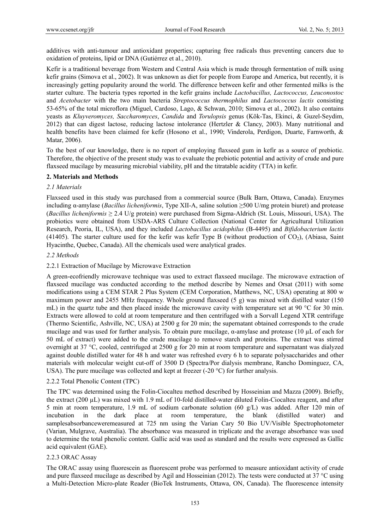additives with anti-tumour and antioxidant properties; capturing free radicals thus preventing cancers due to oxidation of proteins, lipid or DNA (Gutiérrez et al., 2010).

Kefir is a traditional beverage from Western and Central Asia which is made through fermentation of milk using kefir grains (Simova et al., 2002). It was unknown as diet for people from Europe and America, but recently, it is increasingly getting popularity around the world. The difference between kefir and other fermented milks is the starter culture. The bacteria types reported in the kefir grains include *Lactobacillus, Lactococcus, Leuconostoc* and *Acetobacter* with the two main bacteria *Streptococcus thermophilus* and *Lactococcus lactis* consisting 53-65% of the total microflora (Miguel, Cardoso, Lago, & Schwan, 2010; Simova et al., 2002). It also contains yeasts as *Kluyveromyces, Saccharomyces*, *Candida* and *Torulopsis* genus (Kök-Tas, Ekinci, & Guzel-Seydim, 2012) that can digest lactose, reducing lactose intolerance (Hertzler & Clancy, 2003). Many nutritional and health benefits have been claimed for kefir (Hosono et al., 1990; Vinderola, Perdigon, Duarte, Farnworth, & Matar, 2006).

To the best of our knowledge, there is no report of employing flaxseed gum in kefir as a source of prebiotic. Therefore, the objective of the present study was to evaluate the prebiotic potential and activity of crude and pure flaxseed mucilage by measuring microbial viability, pH and the titratable acidity (TTA) in kefir.

## **2. Materials and Methods**

# *2.1 Materials*

Flaxseed used in this study was purchased from a commercial source (Bulk Barn, Ottawa, Canada). Enzymes including α-amylase (*Bacillus licheniformis*, Type XII-A, saline solution ≥500 U/mg protein biuret) and protease (*Bacillus licheniformis* ≥ 2.4 U/g protein) were purchased from Sigma-Aldrich (St. Louis, Missouri, USA). The probiotics were obtained from USDA-ARS Culture Collection (National Center for Agricultural Utilization Research, Peoria, IL, USA), and they included *Lactobacillus acidophilus* (B-4495) and *Bifidobacterium lactis* (41405). The starter culture used for the kefir was kefir Type B (without production of  $CO<sub>2</sub>$ ), (Abiasa, Saint Hyacinthe, Quebec, Canada). All the chemicals used were analytical grades.

## *2.2 Methods*

## 2.2.1 Extraction of Mucilage by Microwave Extraction

A green-ecofriendly microwave technique was used to extract flaxseed mucilage. The microwave extraction of flaxseed mucilage was conducted according to the method describe by Nemes and Orsat (2011) with some modifications using a CEM STAR 2 Plus System (CEM Corporation, Matthews, NC, USA) operating at 800 w maximum power and 2455 MHz frequency. Whole ground flaxseed (5 g) was mixed with distilled water (150 mL) in the quartz tube and then placed inside the microwave cavity with temperature set at 90 °C for 30 min. Extracts were allowed to cold at room temperature and then centrifuged with a Sorvall Legend XTR centrifuge (Thermo Scientific, Ashville, NC, USA) at 2500 g for 20 min; the supernatant obtained corresponds to the crude mucilage and was used for further analysis. To obtain pure mucilage, α-amylase and protease (10 μL of each for 50 mL of extract) were added to the crude mucilage to remove starch and proteins. The extract was stirred overnight at 37 °C, cooled, centrifuged at 2500 g for 20 min at room temperature and supernatant was dialyzed against double distilled water for 48 h and water was refreshed every 6 h to separate polysaccharides and other materials with molecular weight cut-off of 3500 D (Spectra/Por dialysis membrane, Rancho Dominguez, CA, USA). The pure mucilage was collected and kept at freezer (-20  $^{\circ}$ C) for further analysis.

## 2.2.2 Total Phenolic Content (TPC)

The TPC was determined using the Folin-Ciocalteu method described by Hosseinian and Mazza (2009). Briefly, the extract (200 µL) was mixed with 1.9 mL of 10-fold distilled-water diluted Folin-Ciocalteu reagent, and after 5 min at room temperature, 1.9 mL of sodium carbonate solution (60 g/L) was added. After 120 min of incubation in the dark place at room temperature, the blank (distilled water) and samplesabsorbanceweremeasured at 725 nm using the Varian Cary 50 Bio UV/Visible Spectrophotometer (Varian, Mulgrave, Australia). The absorbance was measured in triplicate and the average absorbance was used to determine the total phenolic content. Gallic acid was used as standard and the results were expressed as Gallic acid equivalent (GAE).

## 2.2.3 ORAC Assay

The ORAC assay using fluorescein as fluorescent probe was performed to measure antioxidant activity of crude and pure flaxseed mucilage as described by Agil and Hosseinian (2012). The tests were conducted at 37 °C using a Multi-Detection Micro-plate Reader (BioTek Instruments, Ottawa, ON, Canada). The fluorescence intensity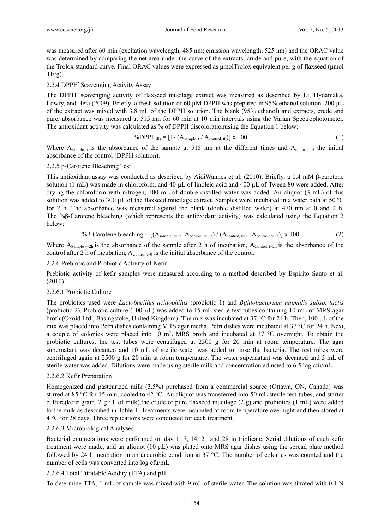was measured after 60 min (excitation wavelength, 485 nm; emission wavelength, 525 nm) and the ORAC value was determined by comparing the net area under the curve of the extracts, crude and pure, with the equation of the Trolox standard curve. Final ORAC values were expressed as μmolTrolox equivalent per g of flaxseed (μmol  $TE/g$ ).

## 2.2.4 DPPH<sup>•</sup> Scavenging Activity Assay

The DPPH' scavenging activity of flaxseed mucilage extract was measured as described by Li, Hydamaka, Lowry, and Beta (2009). Briefly, a fresh solution of 60  $\mu$ M DPPH was prepared in 95% ethanol solution. 200  $\mu$ L of the extract was mixed with 3.8 mL of the DPPH solution. The blank (95% ethanol) and extracts, crude and pure, absorbance was measured at 515 nm for 60 min at 10 min intervals using the Varian Spectrophotometer. The antioxidant activity was calculated as % of DPPH discolorationusing the Equation 1 below:

$$
\%DPPH_{dis} = [1 - (A_{sample, t} / A_{control, t0})] \times 100
$$
\n
$$
(1)
$$

Where  $A_{sample, t}$  is the absorbance of the sample at 515 nm at the different times and  $A_{control, t0}$  the initial absorbance of the control (DPPH solution).

## 2.2.5 β*-*Carotene Bleaching Test

This antioxidant assay was conducted as described by AidiWannes et al. (2010). Briefly, a 0.4 mM β-carotene solution (1 mL) was made in chloroform, and 40  $\mu$ L of linoleic acid and 400  $\mu$ L of Tween 80 were added. After drying the chloroform with nitrogen, 100 mL of double distilled water was added. An aliquot (3 mL) of this solution was added to 300 µL of the flaxseed mucilage extract. Samples were incubated in a water bath at 50 ºC for 2 h. The absorbance was measured against the blank (double distilled water) at 470 nm at 0 and 2 h. The %β-Carotene bleaching (which represents the antioxidant activity) was calculated using the Equation 2 below:

$$
\% \beta\text{-Carotene bleaching} = \left[ (A_{sample, t=2h} - A_{control, t=2h}) / (A_{control, t=0} - A_{control, t=2h}) \right] \times 100 \tag{2}
$$

Where A<sub>Sample t=2h</sub> is the absorbance of the sample after 2 h of incubation, A<sub>Control</sub> t=2h is the absorbance of the control after 2 h of incubation,  $A_{\text{Control t=0}}$  is the initial absorbance of the control.

## 2.2.6 Prebiotic and Probiotic Activity of Kefir

Prebiotic activity of kefir samples were measured according to a method described by Espirito Santo et al. (2010).

## 2.2.6.1 Probiotic Culture

The probiotics used were *Lactobacillus acidophilus* (probiotic 1) and *Bifidobacterium animalis subsp. lactis* (probiotic 2). Probiotic culture (100  $\mu$ L) was added to 15 mL sterile test tubes containing 10 mL of MRS agar broth (Oxoid Ltd., Basingstoke, United Kingdom). The mix was incubated at 37 °C for 24 h. Then, 100 µL of the mix was placed into Petri dishes containing MRS agar media. Petri dishes were incubated at 37 °C for 24 h. Next, a couple of colonies were placed into 10 mL MRS broth and incubated at 37 °C overnight. To obtain the probiotic cultures, the test tubes were centrifuged at 2500 g for 20 min at room temperature. The agar supernatant was decanted and 10 mL of sterile water was added to rinse the bacteria. The test tubes were centrifuged again at 2500 g for 20 min at room temperature. The water supernatant was decanted and 5 mL of sterile water was added. Dilutions were made using sterile milk and concentration adjusted to 6.5 log cfu/mL.

## 2.2.6.2 Kefir Preparation

Homogenized and pasteurized milk (3.5%) purchased from a commercial source (Ottawa, ON, Canada) was stirred at 85 °C for 15 min, cooled to 42 °C. An aliquot was transferred into 50 mL sterile test-tubes, and starter culture(kefir grain, 2 g / L of milk),the crude or pure flaxseed mucilage (2 g) and probiotics (1 mL) were added to the milk as described in Table 1. Treatments were incubated at room temperature overnight and then stored at 4 °C for 28 days. Three replications were conducted for each treatment.

## 2.2.6.3 Microbiological Analyses

Bacterial enumerations were performed on day 1, 7, 14, 21 and 28 in triplicate. Serial dilutions of each kefir treatment were made, and an aliquot (10  $\mu$ L) was plated onto MRS agar dishes using the spread plate method followed by 24 h incubation in an anaerobic condition at 37 °C. The number of colonies was counted and the number of cells was converted into log cfu/mL.

## 2.2.6.4 Total Titratable Acidity (TTA) and pH

To determine TTA, 1 mL of sample was mixed with 9 mL of sterile water. The solution was titrated with 0.1 N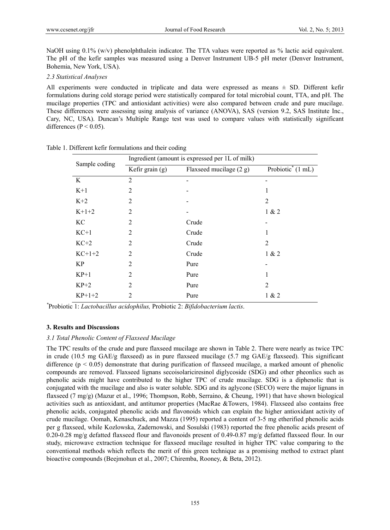NaOH using 0.1% (w/v) phenolphthalein indicator. The TTA values were reported as % lactic acid equivalent. The pH of the kefir samples was measured using a Denver Instrument UB-5 pH meter (Denver Instrument, Bohemia, New York, USA).

## *2.3 Statistical Analyses*

All experiments were conducted in triplicate and data were expressed as means  $\pm$  SD. Different kefir formulations during cold storage period were statistically compared for total microbial count, TTA, and pH. The mucilage properties (TPC and antioxidant activities) were also compared between crude and pure mucilage. These differences were assessing using analysis of variance (ANOVA), SAS (version 9.2, SAS Institute Inc., Cary, NC, USA). Duncan's Multiple Range test was used to compare values with statistically significant differences ( $P < 0.05$ ).

| Sample coding | Ingredient (amount is expressed per 1L of milk) |                           |                                         |  |
|---------------|-------------------------------------------------|---------------------------|-----------------------------------------|--|
|               | Kefir grain $(g)$                               | Flaxseed mucilage $(2 g)$ | Probiotic <sup>*</sup> $(1 \text{ mL})$ |  |
| K             | $\overline{2}$                                  |                           |                                         |  |
| $K+1$         | $\overline{2}$                                  |                           | 1                                       |  |
| $K+2$         | 2                                               |                           | 2                                       |  |
| $K+1+2$       | $\overline{2}$                                  |                           | 1 & 2                                   |  |
| KC            | $\overline{2}$                                  | Crude                     |                                         |  |
| $KC+1$        | $\overline{2}$                                  | Crude                     | 1                                       |  |
| $KC+2$        | $\overline{2}$                                  | Crude                     | $\overline{2}$                          |  |
| $KC+1+2$      | $\overline{2}$                                  | Crude                     | 1 & 2                                   |  |
| KP            | 2                                               | Pure                      |                                         |  |
| $KP+1$        | $\overline{2}$                                  | Pure                      | 1                                       |  |
| $KP+2$        | $\overline{c}$                                  | Pure                      | $\overline{2}$                          |  |
| $KP+1+2$      | 2                                               | Pure                      | 1 & 2                                   |  |

Table 1. Different kefir formulations and their coding

*\** Probiotic 1: *Lactobacillus acidophilus,* Probiotic 2: *Bifidobacterium lactis*.

#### **3. Results and Discussions**

#### *3.1 Total Phenolic Content of Flaxseed Mucilage*

The TPC results of the crude and pure flaxseed mucilage are shown in Table 2. There were nearly as twice TPC in crude (10.5 mg GAE/g flaxseed) as in pure flaxseed mucilage (5.7 mg GAE/g flaxseed). This significant difference ( $p < 0.05$ ) demonstrate that during purification of flaxseed mucilage, a marked amount of phenolic compounds are removed. Flaxseed lignans secoisolariciresinol diglycoside (SDG) and other pheonlics such as phenolic acids might have contributed to the higher TPC of crude mucilage. SDG is a diphenolic that is conjugated with the mucilage and also is water soluble. SDG and its aglycone (SECO) were the major lignans in flaxseed (7 mg/g) (Mazur et al., 1996; Thompson, Robb, Serraino, & Cheung, 1991) that have shown biological activities such as antioxidant, and antitumor properties (MacRae &Towers, 1984). Flaxseed also contains free phenolic acids, conjugated phenolic acids and flavonoids which can explain the higher antioxidant activity of crude mucilage. Oomah, Kenaschuck, and Mazza (1995) reported a content of 3-5 mg etherified phenolic acids per g flaxseed, while Kozlowska, Zadernowski, and Sosulski (1983) reported the free phenolic acids present of 0.20-0.28 mg/g defatted flaxseed flour and flavonoids present of 0.49-0.87 mg/g defatted flaxseed flour. In our study, microwave extraction technique for flaxseed mucilage resulted in higher TPC value comparing to the conventional methods which reflects the merit of this green technique as a promising method to extract plant bioactive compounds (Beejmohun et al., 2007; Chiremba, Rooney, & Beta, 2012).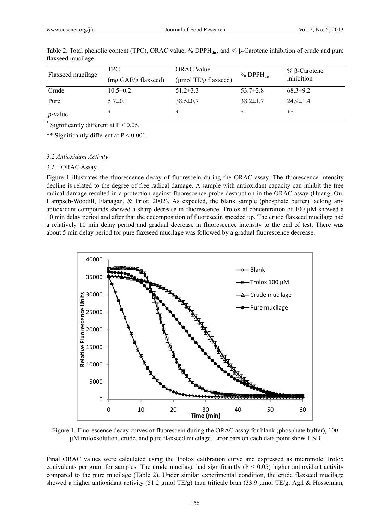| Flaxseed mucilage | TPC-<br>(mg GAE/g flaxseed) | <b>ORAC</b> Value<br>( $\mu$ mol TE/g flaxseed) | $%$ DPP $H_{dis}$ | % β-Carotene<br>inhibition |
|-------------------|-----------------------------|-------------------------------------------------|-------------------|----------------------------|
| Crude             | $10.5 \pm 0.2$              | $51.2 \pm 3.3$                                  | $53.7 \pm 2.8$    | $68.3 \pm 9.2$             |
| Pure              | $5.7 \pm 0.1$               | $38.5 \pm 0.7$                                  | $38.2 \pm 1.7$    | $24.9 \pm 1.4$             |
| $p$ -value        | *                           | *                                               | *                 | $***$                      |

Table 2. Total phenolic content (TPC), ORAC value, % DPPH $_{dis}$ , and % β-Carotene inhibition of crude and pure flaxseed mucilage

\* Significantly different at  $P < 0.05$ .

\*\* Significantly different at P < 0.001.

#### *3.2 Antioxidant Activity*

#### 3.2.1 ORAC Assay

Figure 1 illustrates the fluorescence decay of fluorescein during the ORAC assay. The fluorescence intensity decline is related to the degree of free radical damage. A sample with antioxidant capacity can inhibit the free radical damage resulted in a protection against fluorescence probe destruction in the ORAC assay (Huang, Ou, Hampsch-Woodill, Flanagan, & Prior, 2002). As expected, the blank sample (phosphate buffer) lacking any antioxidant compounds showed a sharp decrease in fluorescence. Trolox at concentration of 100 µM showed a 10 min delay period and after that the decomposition of fluorescein speeded up. The crude flaxseed mucilage had a relatively 10 min delay period and gradual decrease in fluorescence intensity to the end of test. There was about 5 min delay period for pure flaxseed mucilage was followed by a gradual fluorescence decrease.



Figure 1. Fluorescence decay curves of fluorescein during the ORAC assay for blank (phosphate buffer), 100  $\mu$ M troloxsolution, crude, and pure flaxseed mucilage. Error bars on each data point show  $\pm$  SD

Final ORAC values were calculated using the Trolox calibration curve and expressed as micromole Trolox equivalents per gram for samples. The crude mucilage had significantly  $(P < 0.05)$  higher antioxidant activity compared to the pure mucilage (Table 2). Under similar experimental condition, the crude flaxseed mucilage showed a higher antioxidant activity (51.2 µmol TE/g) than triticale bran (33.9 µmol TE/g; Agil & Hosseinian,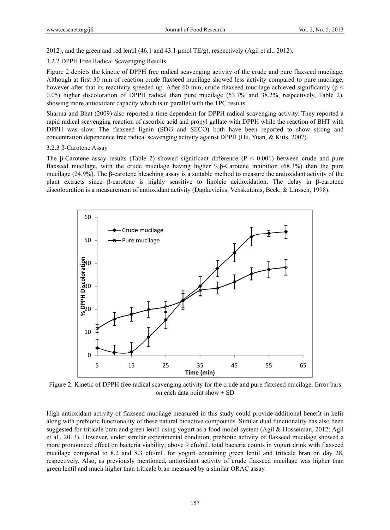2012), and the green and red lentil (46.1 and 43.1 µmol TE/g), respectively (Agil et al., 2012).

3.2.2 DPPH Free Radical Scavenging Results

Figure 2 depicts the kinetic of DPPH free radical scavenging activity of the crude and pure flaxseed mucilage. Although at first 30 min of reaction crude flaxseed mucilage showed less activity compared to pure mucilage, however after that its reactivity speeded up. After 60 min, crude flaxseed mucilage achieved significantly ( $p <$ 0.05) higher discoloration of DPPH radical than pure mucilage (53.7% and 38.2%, respectively, Table 2), showing more antioxidant capacity which is in parallel with the TPC results.

Sharma and Bhat (2009) also reported a time dependent for DPPH radical scavenging activity. They reported a rapid radical scavenging reaction of ascorbic acid and propyl gallate with DPPH while the reaction of BHT with DPPH was slow. The flaxseed lignin (SDG and SECO) both have been reported to show strong and concentration dependence free radical scavenging activity against DPPH (Hu, Yuan, & Kitts, 2007).

#### 3.2.3 β-Carotene Assay

The β-Carotene assay results (Table 2) showed significant difference ( $P < 0.001$ ) between crude and pure flaxseed mucilage, with the crude mucilage having higher %β-Carotene inhibition (68.3%) than the pure mucilage (24.9%). The β-carotene bleaching assay is a suitable method to measure the antioxidant activity of the plant extracts since β-carotene is highly sensitive to linoleic acidoxidation. The delay in β-carotene discolouration is a measurement of antioxidant activity (Dapkevicius, Venskutonis, Beek, & Linssen, 1998).



Figure 2. Kinetic of DPPH free radical scavenging activity for the crude and pure flaxseed mucilage. Error bars on each data point show  $\pm$  SD

High antioxidant activity of flaxseed mucilage measured in this study could provide additional benefit in kefir along with prebiotic functionality of these natural bioactive compounds. Similar dual functionality has also been suggested for triticale bran and green lentil using yogurt as a food model system (Agil & Hosseinian, 2012; Agil et al., 2013). However, under similar experimental condition, prebiotic activity of flaxseed mucilage showed a more pronounced effect on bacteria viability; above 9 cfu/mL total bacteria counts in yogurt drink with flaxseed mucilage compared to 8.2 and 8.3 cfu/mL for yogurt containing green lentil and triticale bran on day 28, respectively. Also, as previously mentioned, antioxidant activity of crude flaxseed mucilage was higher than green lentil and much higher than triticale bran measured by a similar ORAC assay.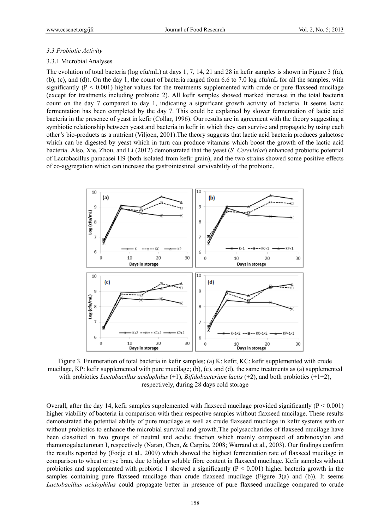#### *3.3 Probiotic Activity*

#### 3.3.1 Microbial Analyses

The evolution of total bacteria (log cfu/mL) at days 1, 7, 14, 21 and 28 in kefir samples is shown in Figure 3 ((a), (b), (c), and (d)). On the day 1, the count of bacteria ranged from 6.6 to 7.0 log cfu/mL for all the samples, with significantly ( $P < 0.001$ ) higher values for the treatments supplemented with crude or pure flaxseed mucilage (except for treatments including probiotic 2). All kefir samples showed marked increase in the total bacteria count on the day 7 compared to day 1, indicating a significant growth activity of bacteria. It seems lactic fermentation has been completed by the day 7. This could be explained by slower fermentation of lactic acid bacteria in the presence of yeast in kefir (Collar, 1996). Our results are in agreement with the theory suggesting a symbiotic relationship between yeast and bacteria in kefir in which they can survive and propagate by using each other's bio-products as a nutrient (Viljoen, 2001).The theory suggests that lactic acid bacteria produces galactose which can be digested by yeast which in turn can produce vitamins which boost the growth of the lactic acid bacteria. Also, Xie, Zhou, and Li (2012) demonstrated that the yeast (*S. Cerevisiae*) enhanced probiotic potential of Lactobacillus paracasei H9 (both isolated from kefir grain), and the two strains showed some positive effects of co-aggregation which can increase the gastrointestinal survivability of the probiotic.



Figure 3. Enumeration of total bacteria in kefir samples; (a) K: kefir, KC: kefir supplemented with crude mucilage, KP: kefir supplemented with pure mucilage; (b), (c), and (d), the same treatments as (a) supplemented with probiotics *Lactobacillus acidophilus* (+1), *Bifidobacterium lactis* (+2), and both probiotics (+1+2), respectively, during 28 days cold storage

Overall, after the day 14, kefir samples supplemented with flaxseed mucilage provided significantly  $(P < 0.001)$ higher viability of bacteria in comparison with their respective samples without flaxseed mucilage. These results demonstrated the potential ability of pure mucilage as well as crude flaxseed mucilage in kefir systems with or without probiotics to enhance the microbial survival and growth.The polysaccharides of flaxseed mucilage have been classified in two groups of neutral and acidic fraction which mainly composed of arabinoxylan and rhamonogalacturonan I, respectively (Naran, Chen, & Carpita, 2008; Warrand et al., 2003). Our findings confirm the results reported by (Fodje et al., 2009) which showed the highest fermentation rate of flaxseed mucilage in comparison to wheat or rye bran, due to higher soluble fibre content in flaxseed mucilage. Kefir samples without probiotics and supplemented with probiotic 1 showed a significantly  $(P < 0.001)$  higher bacteria growth in the samples containing pure flaxseed mucilage than crude flaxseed mucilage (Figure 3(a) and (b)). It seems *Lactobacillus acidophilus* could propagate better in presence of pure flaxseed mucilage compared to crude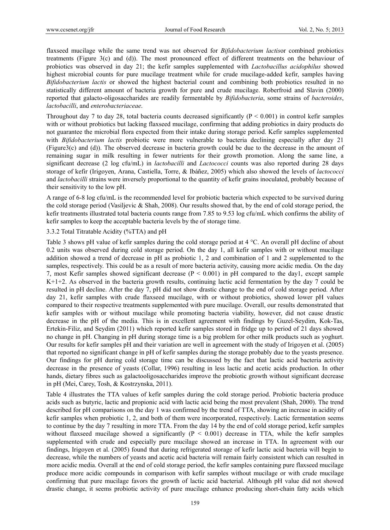flaxseed mucilage while the same trend was not observed for *Bifidobacterium lactis*or combined probiotics treatments (Figure 3(c) and (d)). The most pronounced effect of different treatments on the behaviour of probiotics was observed in day 21; the kefir samples supplemented with *Lactobacillus acidophilus* showed highest microbial counts for pure mucilage treatment while for crude mucilage-added kefir, samples having *Bifidobacterium lactis* or showed the highest bacterial count and combining both probiotics resulted in no statistically different amount of bacteria growth for pure and crude mucilage. Roberfroid and Slavin (2000) reported that galacto-oligosaccharides are readily fermentable by *Bifidobacteria*, some strains of *bacteroides*, *lactobacilli*, and *enterobacteriaceae*.

Throughout day 7 to day 28, total bacteria counts decreased significantly ( $P < 0.001$ ) in control kefir samples with or without probiotics but lacking flaxseed mucilage, confirming that adding probiotics in dairy products do not guarantee the microbial flora expected from their intake during storage period. Kefir samples supplemented with *Bifidobacterium lactis* probiotic were more vulnerable to bacteria declining especially after day 21 (Figure3(c) and (d)). The observed decrease in bacteria growth could be due to the decrease in the amount of remaining sugar in milk resulting in fewer nutrients for their growth promotion. Along the same line, a significant decrease (2 log cfu/mL) in *lactobacilli* and *Lactococci* counts was also reported during 28 days storage of kefir (Irigoyen, Arana, Castiella, Torre, & Ibáñez, 2005) which also showed the levels of *lactococci* and *lactobacilli* strains were inversely proportional to the quantity of kefir grains inoculated, probably because of their sensitivity to the low pH.

A range of 6-8 log cfu/mL is the recommended level for probiotic bacteria which expected to be survived during the cold storage period (Vasiljevic & Shah, 2008). Our results showed that, by the end of cold storage period, the kefir treatments illustrated total bacteria counts range from 7.85 to 9.53 log cfu/mL which confirms the ability of kefir samples to keep the acceptable bacteria levels by the of storage time.

#### 3.3.2 Total Titratable Acidity (%TTA) and pH

Table 3 shows pH value of kefir samples during the cold storage period at 4 °C. An overall pH decline of about 0.2 units was observed during cold storage period. On the day 1, all kefir samples with or without mucilage addition showed a trend of decrease in pH as probiotic 1, 2 and combination of 1 and 2 supplemented to the samples, respectively. This could be as a result of more bacteria activity, causing more acidic media. On the day 7, most Kefir samples showed significant decrease (P < 0.001) in pH compared to the day1, except sample K+1+2. As observed in the bacteria growth results, continuing lactic acid fermentation by the day 7 could be resulted in pH decline. After the day 7, pH did not show drastic change to the end of cold storage period. After day 21, kefir samples with crude flaxseed mucilage, with or without probiotics, showed lower pH values compared to their respective treatments supplemented with pure mucilage. Overall, our results demonstrated that kefir samples with or without mucilage while promoting bacteria viability, however, did not cause drastic decrease in the pH of the media. This is in excellent agreement with findings by Guzel-Seydim, Kok-Tas, Ertekin-Filiz, and Seydim (2011) which reported kefir samples stored in fridge up to period of 21 days showed no change in pH. Changing in pH during storage time is a big problem for other milk products such as yoghurt. Our results for kefir samples pH and their variation are well in agreement with the study of Irigoyen et al. (2005) that reported no significant change in pH of kefir samples during the storage probably due to the yeasts presence. Our findings for pH during cold storage time can be discussed by the fact that lactic acid bacteria activity decrease in the presence of yeasts (Collar, 1996) resulting in less lactic and acetic acids production. In other hands, dietary fibres such as galactooligosaccharides improve the probiotic growth without significant decrease in pH (Mei, Carey, Tosh, & Kostrzynska, 2011).

Table 4 illustrates the TTA values of kefir samples during the cold storage period. Probiotic bacteria produce acids such as butyric, lactic and propionic acid with lactic acid being the most prevalent (Shah, 2000). The trend described for pH comparisons on the day 1 was confirmed by the trend of TTA, showing an increase in acidity of kefir samples when probiotic 1, 2, and both of them were incorporated, respectively. Lactic fermentation seems to continue by the day 7 resulting in more TTA. From the day 14 by the end of cold storage period, kefir samples without flaxseed mucilage showed a significantly  $(P < 0.001)$  decrease in TTA, while the kefir samples supplemented with crude and especially pure mucilage showed an increase in TTA. In agreement with our findings, Irigoyen et al. (2005) found that during refrigerated storage of kefir lactic acid bacteria will begin to decrease, while the numbers of yeasts and acetic acid bacteria will remain fairly consistent which can resulted in more acidic media. Overall at the end of cold storage period, the kefir samples containing pure flaxseed mucilage produce more acidic compounds in comparison with kefir samples without mucilage or with crude mucilage confirming that pure mucilage favors the growth of lactic acid bacterial. Although pH value did not showed drastic change, it seems probiotic activity of pure mucilage enhance producing short-chain fatty acids which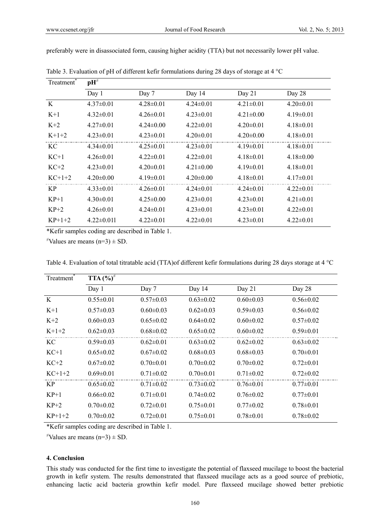| Treatment <sup>1</sup> | $\mathbf{p} \overline{\mathbf{H}^{\neq}}$ |                 |                 |                 |                 |
|------------------------|-------------------------------------------|-----------------|-----------------|-----------------|-----------------|
|                        | Day 1                                     | Day 7           | Day 14          | Day 21          | Day 28          |
| K                      | $4.37\pm0.01$                             | $4.28 \pm 0.01$ | $4.24 \pm 0.01$ | $4.21 \pm 0.01$ | $4.20 \pm 0.01$ |
| $K+1$                  | $4.32 \pm 0.01$                           | $4.26 \pm 0.01$ | $4.23 \pm 0.01$ | $4.21 \pm 0.00$ | $4.19 \pm 0.01$ |
| $K+2$                  | $4.27\pm0.01$                             | $4.24 \pm 0.00$ | $4.22 \pm 0.01$ | $4.20 \pm 0.01$ | $4.18 \pm 0.01$ |
| $K+1+2$                | $4.23 \pm 0.01$                           | $4.23 \pm 0.01$ | $4.20 \pm 0.01$ | $4.20 \pm 0.00$ | $4.18 \pm 0.01$ |
| КC                     | $4.34\pm0.01$                             | $4.25 \pm 0.01$ | $4.23 \pm 0.01$ | $4.19\pm0.01$   | $4.18 \pm 0.01$ |
| $KC+1$                 | $4.26 \pm 0.01$                           | $4.22 \pm 0.01$ | $4.22 \pm 0.01$ | $4.18 \pm 0.01$ | $4.18 \pm 0.00$ |
| $KC+2$                 | $4.23 \pm 0.01$                           | $4.20 \pm 0.01$ | $4.21 \pm 0.00$ | $4.19 \pm 0.01$ | $4.18 \pm 0.01$ |
| $KC+1+2$               | $4.20 \pm 0.00$                           | $4.19 \pm 0.01$ | $4.20 \pm 0.00$ | $4.18 \pm 0.01$ | $4.17\pm0.01$   |
| <b>KP</b>              | $4.33 \pm 0.01$                           | $4.26 \pm 0.01$ | $4.24 \pm 0.01$ | $4.24 \pm 0.01$ | $4.22 \pm 0.01$ |
| $KP+1$                 | $4.30\pm0.01$                             | $4.25 \pm 0.00$ | $4.23 \pm 0.01$ | $4.23 \pm 0.01$ | $4.21 \pm 0.01$ |
| $KP+2$                 | $4.26 \pm 0.01$                           | $4.24\pm0.01$   | $4.23 \pm 0.01$ | $4.23 \pm 0.01$ | $4.22 \pm 0.01$ |
| $KP+1+2$               | $4.22 \pm 0.011$                          | $4.22 \pm 0.01$ | $4.22 \pm 0.01$ | $4.23 \pm 0.01$ | $4.22 \pm 0.01$ |

preferably were in disassociated form, causing higher acidity (TTA) but not necessarily lower pH value.

Table 3. Evaluation of pH of different kefir formulations during 28 days of storage at 4 °C

\*Kefir samples coding are described in Table 1.

 $\overrightarrow{v}$ Values are means (n=3)  $\pm$  SD.

| Treatment <sup>®</sup> | TTA $(\%)^{\neq}$ |                 |                 |                 |                 |
|------------------------|-------------------|-----------------|-----------------|-----------------|-----------------|
|                        | Day 1             | Day 7           | Day 14          | Day 21          | Day 28          |
| K                      | $0.55 \pm 0.01$   | $0.57 \pm 0.03$ | $0.63 \pm 0.02$ | $0.60 \pm 0.03$ | $0.56 \pm 0.02$ |
| $K+1$                  | $0.57 \pm 0.03$   | $0.60 \pm 0.03$ | $0.62 \pm 0.03$ | $0.59 \pm 0.03$ | $0.56 \pm 0.02$ |
| $K+2$                  | $0.60 \pm 0.03$   | $0.65 \pm 0.02$ | $0.64 \pm 0.02$ | $0.60 \pm 0.02$ | $0.57 \pm 0.02$ |
| $K+1+2$                | $0.62 \pm 0.03$   | $0.68 \pm 0.02$ | $0.65 \pm 0.02$ | $0.60 \pm 0.02$ | $0.59 \pm 0.01$ |
| KC.                    | $0.59 \pm 0.03$   | $0.62 \pm 0.01$ | $0.63 \pm 0.02$ | $0.62 \pm 0.02$ | $0.63 \pm 0.02$ |
| $KC+1$                 | $0.65 \pm 0.02$   | $0.67 \pm 0.02$ | $0.68 \pm 0.03$ | $0.68 \pm 0.03$ | $0.70 \pm 0.01$ |
| $KC+2$                 | $0.67 \pm 0.02$   | $0.70 \pm 0.01$ | $0.70 \pm 0.02$ | $0.70 \pm 0.02$ | $0.72 \pm 0.01$ |
| $KC+1+2$               | $0.69 \pm 0.01$   | $0.71 \pm 0.02$ | $0.70 \pm 0.01$ | $0.71 \pm 0.02$ | $0.72 \pm 0.02$ |
| KP.                    | $0.65 \pm 0.02$   | $0.71 \pm 0.02$ | $0.73 \pm 0.02$ | $0.76 \pm 0.01$ | $0.77 \pm 0.01$ |
| $KP+1$                 | $0.66 \pm 0.02$   | $0.71 \pm 0.01$ | $0.74 \pm 0.02$ | $0.76 \pm 0.02$ | $0.77 \pm 0.01$ |
| $KP+2$                 | $0.70 \pm 0.02$   | $0.72 \pm 0.01$ | $0.75 \pm 0.01$ | $0.77 \pm 0.02$ | $0.78 \pm 0.01$ |
| $KP+1+2$               | $0.70 \pm 0.02$   | $0.72 \pm 0.01$ | $0.75 \pm 0.01$ | $0.78 \pm 0.01$ | $0.78 \pm 0.02$ |

Table 4. Evaluation of total titratable acid (TTA)of different kefir formulations during 28 days storage at 4 °C

\*Kefir samples coding are described in Table 1.

 $\overrightarrow{v}$ Values are means (n=3)  $\pm$  SD.

# **4. Conclusion**

This study was conducted for the first time to investigate the potential of flaxseed mucilage to boost the bacterial growth in kefir system. The results demonstrated that flaxseed mucilage acts as a good source of prebiotic, enhancing lactic acid bacteria growthin kefir model. Pure flaxseed mucilage showed better prebiotic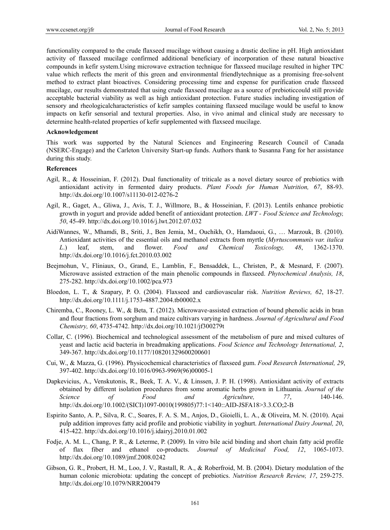functionality compared to the crude flaxseed mucilage without causing a drastic decline in pH. High antioxidant activity of flaxseed mucilage confirmed additional beneficiary of incorporation of these natural bioactive compounds in kefir system.Using microwave extraction technique for flaxseed mucilage resulted in higher TPC value which reflects the merit of this green and environmental friendlytechnique as a promising free-solvent method to extract plant bioactives. Considering processing time and expense for purification crude flaxseed mucilage, our results demonstrated that using crude flaxseed mucilage as a source of prebioticcould still provide acceptable bacterial viability as well as high antioxidant protection. Future studies including investigation of sensory and rheologicalcharacteristics of kefir samples containing flaxseed mucilage would be useful to know impacts on kefir sensorial and textural properties. Also, in vivo animal and clinical study are necessary to determine health-related properties of kefir supplemented with flaxseed mucilage.

#### **Acknowledgement**

This work was supported by the Natural Sciences and Engineering Research Council of Canada (NSERC-Engage) and the Carleton University Start-up funds. Authors thank to Susanna Fang for her assistance during this study.

#### **References**

- Agil, R., & Hosseinian, F. (2012). Dual functionality of triticale as a novel dietary source of prebiotics with antioxidant activity in fermented dairy products. *Plant Foods for Human Nutrition, 67*, 88-93. http://dx.doi.org/10.1007/s11130-012-0276-2
- Agil, R., Gaget, A., Gliwa, J., Avis, T. J., Willmore, B., & Hosseinian, F. (2013). Lentils enhance probiotic growth in yogurt and provide added benefit of antioxidant protection. *LWT - Food Science and Technology, 50*, 45-49. http://dx.doi.org/10.1016/j.lwt.2012.07.032
- AidiWannes, W., Mhamdi, B., Sriti, J., Ben Jemia, M., Ouchikh, O., Hamdaoui, G., … Marzouk, B. (2010). Antioxidant activities of the essential oils and methanol extracts from myrtle (*Myrtuscommunis var. italica L*.) leaf, stem, and flower. *Food and Chemical Toxicology, 48*, 1362-1370. http://dx.doi.org/10.1016/j.fct.2010.03.002
- Beejmohun, V., Fliniaux, O., Grand, E., Lamblin, F., Bensaddek, L., Christen, P., & Mesnard, F. (2007). Microwave assisted extraction of the main phenolic compounds in flaxseed. *Phytochemical Analysis, 18*, 275-282. http://dx.doi.org/10.1002/pca.973
- Bloedon, L. T., & Szapary, P. O. (2004). Flaxseed and cardiovascular risk. *Nutrition Reviews, 62*, 18-27. http://dx.doi.org/10.1111/j.1753-4887.2004.tb00002.x
- Chiremba, C., Rooney, L. W., & Beta, T. (2012). Microwave-assisted extraction of bound phenolic acids in bran and flour fractions from sorghum and maize cultivars varying in hardness. *Journal of Agricultural and Food Chemistry, 60*, 4735-4742. http://dx.doi.org/10.1021/jf300279t
- Collar, C. (1996). Biochemical and technological assessment of the metabolism of pure and mixed cultures of yeast and lactic acid bacteria in breadmaking applications. *Food Science and Technology International, 2*, 349-367. http://dx.doi.org/10.1177/108201329600200601
- Cui, W., & Mazza, G. (1996). Physicochemical characteristics of flaxseed gum. *Food Research International, 29*, 397-402. http://dx.doi.org/10.1016/0963-9969(96)00005-1
- Dapkevicius, A., Venskutonis, R., Beek, T. A. V., & Linssen, J. P. H. (1998). Antioxidant activity of extracts obtained by different isolation procedures from some aromatic herbs grown in Lithuania. *Journal of the Science of Food and Agriculture, 77*, 140-146. http://dx.doi.org/10.1002/(SICI)1097-0010(199805)77:1<140::AID-JSFA18>3.3.CO;2-B
- Espirito Santo, A. P., Silva, R. C., Soares, F. A. S. M., Anjos, D., Gioielli, L. A., & Oliveira, M. N. (2010). Açai pulp addition improves fatty acid profile and probiotic viability in yoghurt. *International Dairy Journal, 20*, 415-422. http://dx.doi.org/10.1016/j.idairyj.2010.01.002
- Fodje, A. M. L., Chang, P. R., & Leterme, P. (2009). In vitro bile acid binding and short chain fatty acid profile of flax fiber and ethanol co-products. *Journal of Medicinal Food, 12*, 1065-1073. http://dx.doi.org/10.1089/jmf.2008.0242
- Gibson, G. R., Probert, H. M., Loo, J. V., Rastall, R. A., & Roberfroid, M. B. (2004). Dietary modulation of the human colonic microbiota: updating the concept of prebiotics. *Nutrition Research Review, 17*, 259-275. http://dx.doi.org/10.1079/NRR200479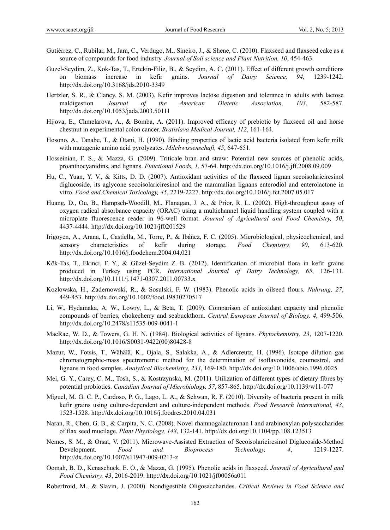- Gutiérrez, C., Rubilar, M., Jara, C., Verdugo, M., Sineiro, J., & Shene, C. (2010). Flaxseed and flaxseed cake as a source of compounds for food industry. *Journal of Soil science and Plant Nutrition, 10*, 454-463.
- Guzel-Seydim, Z., Kok-Tas, T., Ertekin-Filiz, B., & Seydim, A. C. (2011). Effect of different growth conditions on biomass increase in kefir grains. *Journal of Dairy Science, 94*, 1239-1242. http://dx.doi.org/10.3168/jds.2010-3349
- Hertzler, S. R., & Clancy, S. M. (2003). Kefir improves lactose digestion and tolerance in adults with lactose maldigestion*. Journal of the American Dietetic Association, 103*, 582-587. http://dx.doi.org/10.1053/jada.2003.50111
- Hijova, E., Chmelarova, A., & Bomba, A. (2011). Improved efficacy of prebiotic by flaxseed oil and horse chestnut in experimental colon cancer. *Bratislava Medical Journal, 112*, 161-164.
- Hosono, A., Tanabe, T., & Otani, H. (1990). Binding properties of lactic acid bacteria isolated from kefir milk with mutagenic amino acid pyrolyzates. *Milchwissenschaft, 45*, 647-651.
- Hosseinian, F. S., & Mazza, G. (2009). Triticale bran and straw: Potential new sources of phenolic acids, proanthocyanidins, and lignans. *Functional Foods, 1*, 57-64. http://dx.doi.org/10.1016/j.jff.2008.09.009
- Hu, C., Yuan, Y. V., & Kitts, D. D. (2007). Antioxidant activities of the flaxseed lignan secoisolariciresinol diglucoside, its aglycone secoisolariciresinol and the mammalian lignans enterodiol and enterolactone in vitro. *Food and Chemical Toxicology, 45*, 2219-2227. http://dx.doi.org/10.1016/j.fct.2007.05.017
- Huang, D., Ou, B., Hampsch-Woodill, M., Flanagan, J. A., & Prior, R. L. (2002). High-throughput assay of oxygen radical absorbance capacity (ORAC) using a multichannel liquid handling system coupled with a microplate fluorescence reader in 96-well format. *Journal of Agricultural and Food Chemistry, 50*, 4437-4444. http://dx.doi.org/10.1021/jf0201529
- Irigoyen, A., Arana, I., Castiella, M., Torre, P., & Ibáñez, F. C. (2005). Microbiological, physicochemical, and sensory characteristics of kefir during storage. *Food Chemistry, 90*, 613-620. http://dx.doi.org/10.1016/j.foodchem.2004.04.021
- Kök-Tas, T., Ekinci, F. Y., & Güzel-Seydim Z. B. (2012). Identification of microbial flora in kefir grains produced in Turkey using PCR. *International Journal of Dairy Technology, 65*, 126-131. http://dx.doi.org/10.1111/j.1471-0307.2011.00733.x
- Kozlowska, H., Zadernowski, R., & Sosulski, F. W. (1983). Phenolic acids in oilseed flours. *Nahrung, 27*, 449-453. http://dx.doi.org/10.1002/food.19830270517
- Li, W., Hydamaka, A. W., Lowry, L., & Beta, T. (2009). Comparison of antioxidant capacity and phenolic compounds of berries, chokecherry and seabuckthorn. *Central European Journal of Biology, 4*, 499-506. http://dx.doi.org/10.2478/s11535-009-0041-1
- MacRae, W. D., & Towers, G. H. N. (1984). Biological activities of lignans. *Phytochemistry, 23*, 1207-1220. http://dx.doi.org/10.1016/S0031-9422(00)80428-8
- Mazur, W., Fotsis, T., Wähälä, K., Ojala, S., Salakka, A., & Adlercreutz, H. (1996). Isotope dilution gas chromatographic-mass spectrometric method for the determination of isoflavonoids, coumestrol, and lignans in food samples. *Analytical Biochemistry, 233*, 169-180. http://dx.doi.org/10.1006/abio.1996.0025
- Mei, G. Y., Carey, C. M., Tosh, S., & Kostrzynska, M. (2011). Utilization of different types of dietary fibres by potential probiotics. *Canadian Journal of Microbiology, 57*, 857-865. http://dx.doi.org/10.1139/w11-077
- Miguel, M. G. C. P., Cardoso, P. G., Lago, L. A., & Schwan, R. F. (2010). Diversity of bacteria present in milk kefir grains using culture-dependent and culture-independent methods. *Food Research International, 43*, 1523-1528. http://dx.doi.org/10.1016/j.foodres.2010.04.031
- Naran, R., Chen, G. B., & Carpita, N. C. (2008). Novel rhamnogalacturonan I and arabinoxylan polysaccharides of flax seed mucilage. *Plant Physiology, 148*, 132-141. http://dx.doi.org/10.1104/pp.108.123513
- Nemes, S. M., & Orsat, V. (2011). Microwave-Assisted Extraction of Secoisolariciresinol Diglucoside-Method Development. *Food and Bioprocess Technology, 4*, 1219-1227. http://dx.doi.org/10.1007/s11947-009-0213-z
- Oomah, B. D., Kenaschuck, E. O., & Mazza, G. (1995). Phenolic acids in flaxseed. *Journal of Agricultural and Food Chemistry, 43*, 2016-2019. http://dx.doi.org/10.1021/jf00056a011
- Roberfroid, M., & Slavin, J. (2000). Nondigestible Oligosaccharides. *Critical Reviews in Food Science and*